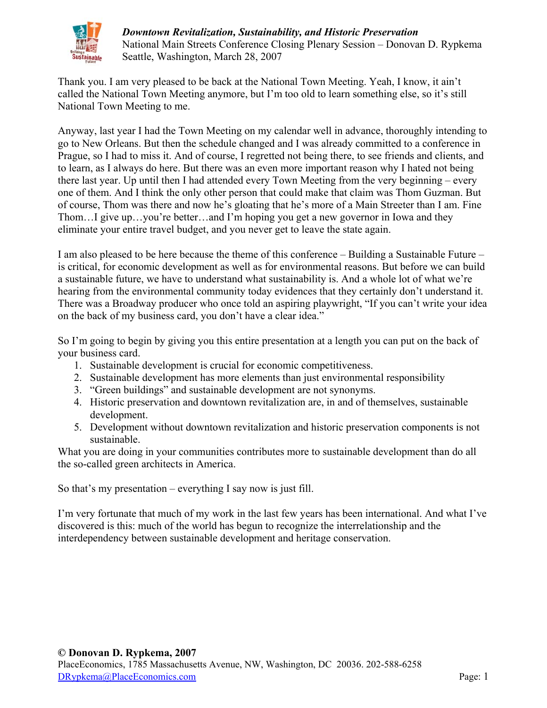

Thank you. I am very pleased to be back at the National Town Meeting. Yeah, I know, it ain't called the National Town Meeting anymore, but I'm too old to learn something else, so it's still National Town Meeting to me.

Anyway, last year I had the Town Meeting on my calendar well in advance, thoroughly intending to go to New Orleans. But then the schedule changed and I was already committed to a conference in Prague, so I had to miss it. And of course, I regretted not being there, to see friends and clients, and to learn, as I always do here. But there was an even more important reason why I hated not being there last year. Up until then I had attended every Town Meeting from the very beginning – every one of them. And I think the only other person that could make that claim was Thom Guzman. But of course, Thom was there and now he's gloating that he's more of a Main Streeter than I am. Fine Thom…I give up…you're better…and I'm hoping you get a new governor in Iowa and they eliminate your entire travel budget, and you never get to leave the state again.

I am also pleased to be here because the theme of this conference – Building a Sustainable Future – is critical, for economic development as well as for environmental reasons. But before we can build a sustainable future, we have to understand what sustainability is. And a whole lot of what we're hearing from the environmental community today evidences that they certainly don't understand it. There was a Broadway producer who once told an aspiring playwright, "If you can't write your idea on the back of my business card, you don't have a clear idea."

So I'm going to begin by giving you this entire presentation at a length you can put on the back of your business card.

- 1. Sustainable development is crucial for economic competitiveness.
- 2. Sustainable development has more elements than just environmental responsibility
- 3. "Green buildings" and sustainable development are not synonyms.
- 4. Historic preservation and downtown revitalization are, in and of themselves, sustainable development.
- 5. Development without downtown revitalization and historic preservation components is not sustainable.

What you are doing in your communities contributes more to sustainable development than do all the so-called green architects in America.

So that's my presentation – everything I say now is just fill.

I'm very fortunate that much of my work in the last few years has been international. And what I've discovered is this: much of the world has begun to recognize the interrelationship and the interdependency between sustainable development and heritage conservation.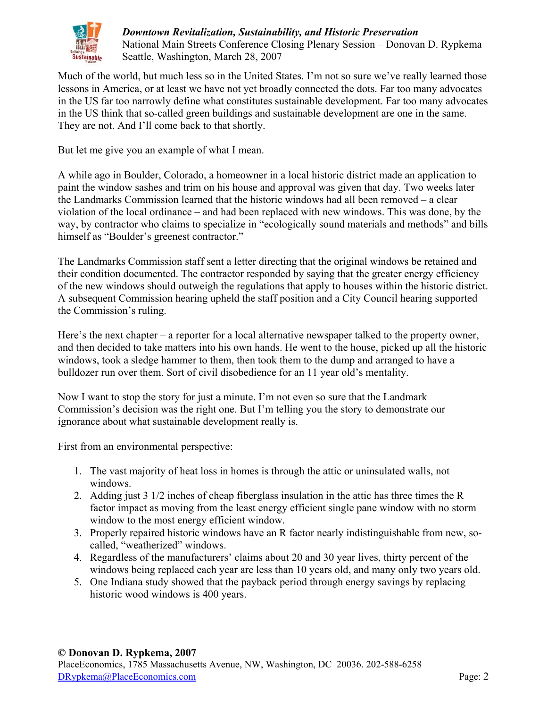

Much of the world, but much less so in the United States. I'm not so sure we've really learned those lessons in America, or at least we have not yet broadly connected the dots. Far too many advocates in the US far too narrowly define what constitutes sustainable development. Far too many advocates in the US think that so-called green buildings and sustainable development are one in the same. They are not. And I'll come back to that shortly.

But let me give you an example of what I mean.

A while ago in Boulder, Colorado, a homeowner in a local historic district made an application to paint the window sashes and trim on his house and approval was given that day. Two weeks later the Landmarks Commission learned that the historic windows had all been removed – a clear violation of the local ordinance – and had been replaced with new windows. This was done, by the way, by contractor who claims to specialize in "ecologically sound materials and methods" and bills himself as "Boulder's greenest contractor."

The Landmarks Commission staff sent a letter directing that the original windows be retained and their condition documented. The contractor responded by saying that the greater energy efficiency of the new windows should outweigh the regulations that apply to houses within the historic district. A subsequent Commission hearing upheld the staff position and a City Council hearing supported the Commission's ruling.

Here's the next chapter – a reporter for a local alternative newspaper talked to the property owner, and then decided to take matters into his own hands. He went to the house, picked up all the historic windows, took a sledge hammer to them, then took them to the dump and arranged to have a bulldozer run over them. Sort of civil disobedience for an 11 year old's mentality.

Now I want to stop the story for just a minute. I'm not even so sure that the Landmark Commission's decision was the right one. But I'm telling you the story to demonstrate our ignorance about what sustainable development really is.

First from an environmental perspective:

- 1. The vast majority of heat loss in homes is through the attic or uninsulated walls, not windows.
- 2. Adding just 3 1/2 inches of cheap fiberglass insulation in the attic has three times the R factor impact as moving from the least energy efficient single pane window with no storm window to the most energy efficient window.
- 3. Properly repaired historic windows have an R factor nearly indistinguishable from new, socalled, "weatherized" windows.
- 4. Regardless of the manufacturers' claims about 20 and 30 year lives, thirty percent of the windows being replaced each year are less than 10 years old, and many only two years old.
- 5. One Indiana study showed that the payback period through energy savings by replacing historic wood windows is 400 years.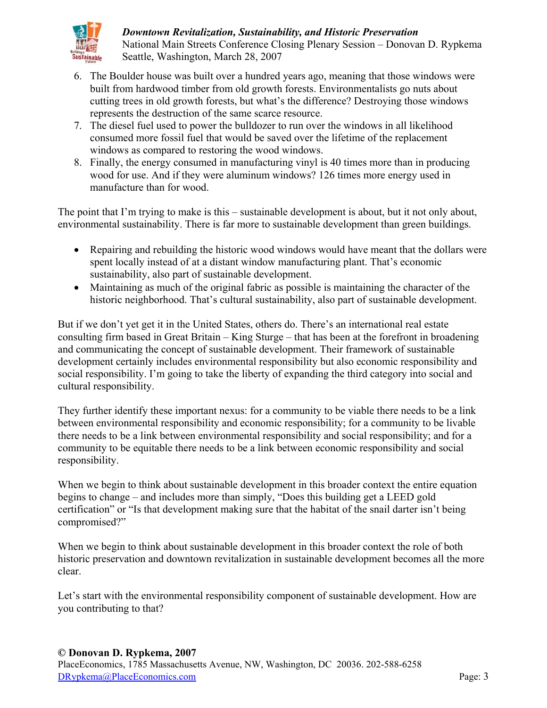

- 6. The Boulder house was built over a hundred years ago, meaning that those windows were built from hardwood timber from old growth forests. Environmentalists go nuts about cutting trees in old growth forests, but what's the difference? Destroying those windows represents the destruction of the same scarce resource.
- 7. The diesel fuel used to power the bulldozer to run over the windows in all likelihood consumed more fossil fuel that would be saved over the lifetime of the replacement windows as compared to restoring the wood windows.
- 8. Finally, the energy consumed in manufacturing vinyl is 40 times more than in producing wood for use. And if they were aluminum windows? 126 times more energy used in manufacture than for wood.

The point that I'm trying to make is this – sustainable development is about, but it not only about, environmental sustainability. There is far more to sustainable development than green buildings.

- Repairing and rebuilding the historic wood windows would have meant that the dollars were spent locally instead of at a distant window manufacturing plant. That's economic sustainability, also part of sustainable development.
- $\bullet$  Maintaining as much of the original fabric as possible is maintaining the character of the historic neighborhood. That's cultural sustainability, also part of sustainable development.

But if we don't yet get it in the United States, others do. There's an international real estate consulting firm based in Great Britain – King Sturge – that has been at the forefront in broadening and communicating the concept of sustainable development. Their framework of sustainable development certainly includes environmental responsibility but also economic responsibility and social responsibility. I'm going to take the liberty of expanding the third category into social and cultural responsibility.

They further identify these important nexus: for a community to be viable there needs to be a link between environmental responsibility and economic responsibility; for a community to be livable there needs to be a link between environmental responsibility and social responsibility; and for a community to be equitable there needs to be a link between economic responsibility and social responsibility.

When we begin to think about sustainable development in this broader context the entire equation begins to change – and includes more than simply, "Does this building get a LEED gold certification" or "Is that development making sure that the habitat of the snail darter isn't being compromised?"

When we begin to think about sustainable development in this broader context the role of both historic preservation and downtown revitalization in sustainable development becomes all the more clear.

Let's start with the environmental responsibility component of sustainable development. How are you contributing to that?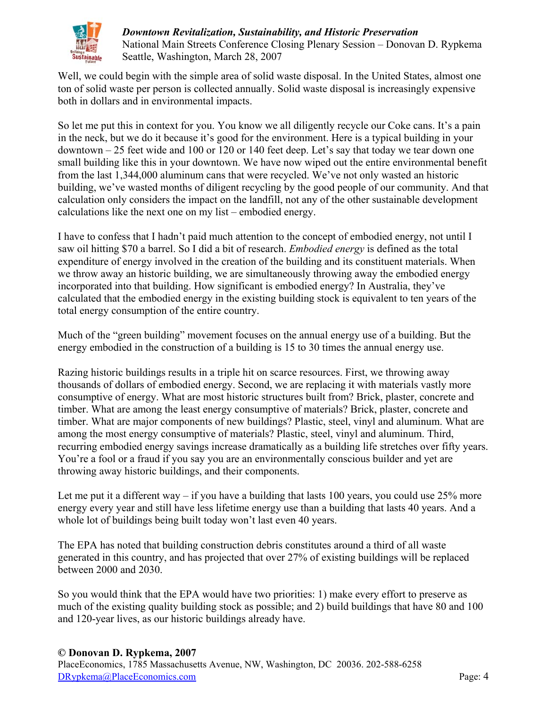

Well, we could begin with the simple area of solid waste disposal. In the United States, almost one ton of solid waste per person is collected annually. Solid waste disposal is increasingly expensive both in dollars and in environmental impacts.

So let me put this in context for you. You know we all diligently recycle our Coke cans. It's a pain in the neck, but we do it because it's good for the environment. Here is a typical building in your downtown – 25 feet wide and 100 or 120 or 140 feet deep. Let's say that today we tear down one small building like this in your downtown. We have now wiped out the entire environmental benefit from the last 1,344,000 aluminum cans that were recycled. We've not only wasted an historic building, we've wasted months of diligent recycling by the good people of our community. And that calculation only considers the impact on the landfill, not any of the other sustainable development calculations like the next one on my list – embodied energy.

I have to confess that I hadn't paid much attention to the concept of embodied energy, not until I saw oil hitting \$70 a barrel. So I did a bit of research. *Embodied energy* is defined as the total expenditure of energy involved in the creation of the building and its constituent materials. When we throw away an historic building, we are simultaneously throwing away the embodied energy incorporated into that building. How significant is embodied energy? In Australia, they've calculated that the embodied energy in the existing building stock is equivalent to ten years of the total energy consumption of the entire country.

Much of the "green building" movement focuses on the annual energy use of a building. But the energy embodied in the construction of a building is 15 to 30 times the annual energy use.

Razing historic buildings results in a triple hit on scarce resources. First, we throwing away thousands of dollars of embodied energy. Second, we are replacing it with materials vastly more consumptive of energy. What are most historic structures built from? Brick, plaster, concrete and timber. What are among the least energy consumptive of materials? Brick, plaster, concrete and timber. What are major components of new buildings? Plastic, steel, vinyl and aluminum. What are among the most energy consumptive of materials? Plastic, steel, vinyl and aluminum. Third, recurring embodied energy savings increase dramatically as a building life stretches over fifty years. You're a fool or a fraud if you say you are an environmentally conscious builder and yet are throwing away historic buildings, and their components.

Let me put it a different way  $-$  if you have a building that lasts 100 years, you could use 25% more energy every year and still have less lifetime energy use than a building that lasts 40 years. And a whole lot of buildings being built today won't last even 40 years.

The EPA has noted that building construction debris constitutes around a third of all waste generated in this country, and has projected that over 27% of existing buildings will be replaced between 2000 and 2030.

So you would think that the EPA would have two priorities: 1) make every effort to preserve as much of the existing quality building stock as possible; and 2) build buildings that have 80 and 100 and 120-year lives, as our historic buildings already have.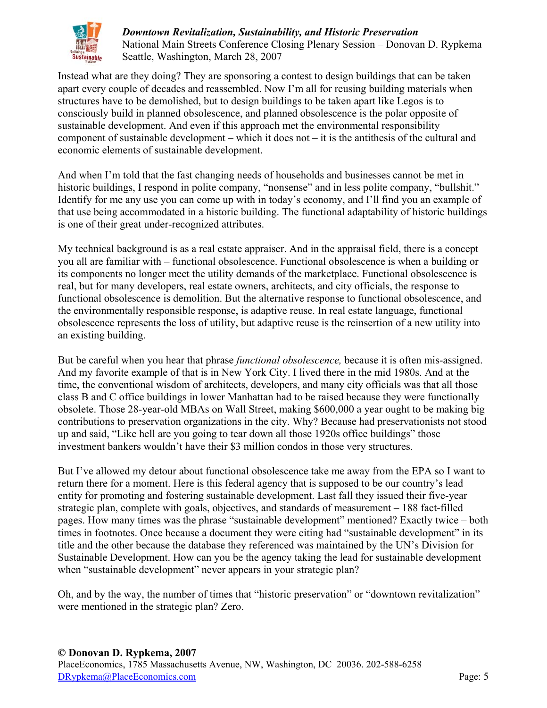

Instead what are they doing? They are sponsoring a contest to design buildings that can be taken apart every couple of decades and reassembled. Now I'm all for reusing building materials when structures have to be demolished, but to design buildings to be taken apart like Legos is to consciously build in planned obsolescence, and planned obsolescence is the polar opposite of sustainable development. And even if this approach met the environmental responsibility component of sustainable development – which it does not – it is the antithesis of the cultural and economic elements of sustainable development.

And when I'm told that the fast changing needs of households and businesses cannot be met in historic buildings, I respond in polite company, "nonsense" and in less polite company, "bullshit." Identify for me any use you can come up with in today's economy, and I'll find you an example of that use being accommodated in a historic building. The functional adaptability of historic buildings is one of their great under-recognized attributes.

My technical background is as a real estate appraiser. And in the appraisal field, there is a concept you all are familiar with – functional obsolescence. Functional obsolescence is when a building or its components no longer meet the utility demands of the marketplace. Functional obsolescence is real, but for many developers, real estate owners, architects, and city officials, the response to functional obsolescence is demolition. But the alternative response to functional obsolescence, and the environmentally responsible response, is adaptive reuse. In real estate language, functional obsolescence represents the loss of utility, but adaptive reuse is the reinsertion of a new utility into an existing building.

But be careful when you hear that phrase *functional obsolescence,* because it is often mis-assigned. And my favorite example of that is in New York City. I lived there in the mid 1980s. And at the time, the conventional wisdom of architects, developers, and many city officials was that all those class B and C office buildings in lower Manhattan had to be raised because they were functionally obsolete. Those 28-year-old MBAs on Wall Street, making \$600,000 a year ought to be making big contributions to preservation organizations in the city. Why? Because had preservationists not stood up and said, "Like hell are you going to tear down all those 1920s office buildings" those investment bankers wouldn't have their \$3 million condos in those very structures.

But I've allowed my detour about functional obsolescence take me away from the EPA so I want to return there for a moment. Here is this federal agency that is supposed to be our country's lead entity for promoting and fostering sustainable development. Last fall they issued their five-year strategic plan, complete with goals, objectives, and standards of measurement – 188 fact-filled pages. How many times was the phrase "sustainable development" mentioned? Exactly twice – both times in footnotes. Once because a document they were citing had "sustainable development" in its title and the other because the database they referenced was maintained by the UN's Division for Sustainable Development. How can you be the agency taking the lead for sustainable development when "sustainable development" never appears in your strategic plan?

Oh, and by the way, the number of times that "historic preservation" or "downtown revitalization" were mentioned in the strategic plan? Zero.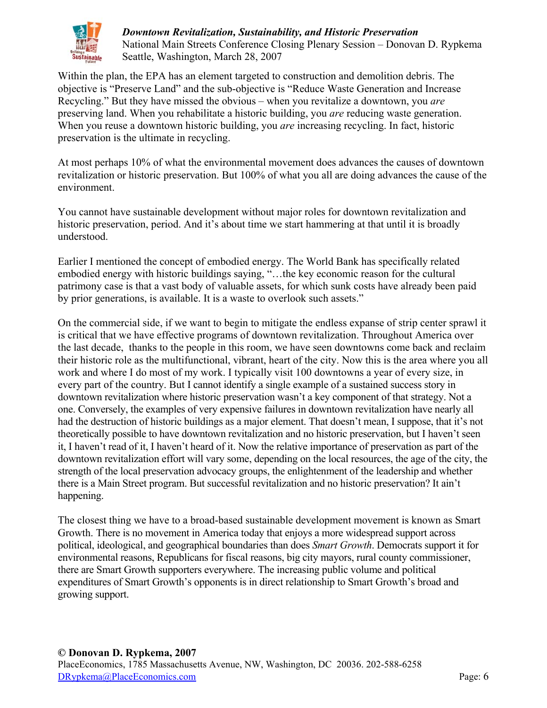

Within the plan, the EPA has an element targeted to construction and demolition debris. The objective is "Preserve Land" and the sub-objective is "Reduce Waste Generation and Increase Recycling." But they have missed the obvious – when you revitalize a downtown, you *are* preserving land. When you rehabilitate a historic building, you *are* reducing waste generation. When you reuse a downtown historic building, you *are* increasing recycling. In fact, historic preservation is the ultimate in recycling.

At most perhaps 10% of what the environmental movement does advances the causes of downtown revitalization or historic preservation. But 100% of what you all are doing advances the cause of the environment.

You cannot have sustainable development without major roles for downtown revitalization and historic preservation, period. And it's about time we start hammering at that until it is broadly understood.

Earlier I mentioned the concept of embodied energy. The World Bank has specifically related embodied energy with historic buildings saying, "…the key economic reason for the cultural patrimony case is that a vast body of valuable assets, for which sunk costs have already been paid by prior generations, is available. It is a waste to overlook such assets."

On the commercial side, if we want to begin to mitigate the endless expanse of strip center sprawl it is critical that we have effective programs of downtown revitalization. Throughout America over the last decade, thanks to the people in this room, we have seen downtowns come back and reclaim their historic role as the multifunctional, vibrant, heart of the city. Now this is the area where you all work and where I do most of my work. I typically visit 100 downtowns a year of every size, in every part of the country. But I cannot identify a single example of a sustained success story in downtown revitalization where historic preservation wasn't a key component of that strategy. Not a one. Conversely, the examples of very expensive failures in downtown revitalization have nearly all had the destruction of historic buildings as a major element. That doesn't mean, I suppose, that it's not theoretically possible to have downtown revitalization and no historic preservation, but I haven't seen it, I haven't read of it, I haven't heard of it. Now the relative importance of preservation as part of the downtown revitalization effort will vary some, depending on the local resources, the age of the city, the strength of the local preservation advocacy groups, the enlightenment of the leadership and whether there is a Main Street program. But successful revitalization and no historic preservation? It ain't happening.

The closest thing we have to a broad-based sustainable development movement is known as Smart Growth. There is no movement in America today that enjoys a more widespread support across political, ideological, and geographical boundaries than does *Smart Growth*. Democrats support it for environmental reasons, Republicans for fiscal reasons, big city mayors, rural county commissioner, there are Smart Growth supporters everywhere. The increasing public volume and political expenditures of Smart Growth's opponents is in direct relationship to Smart Growth's broad and growing support.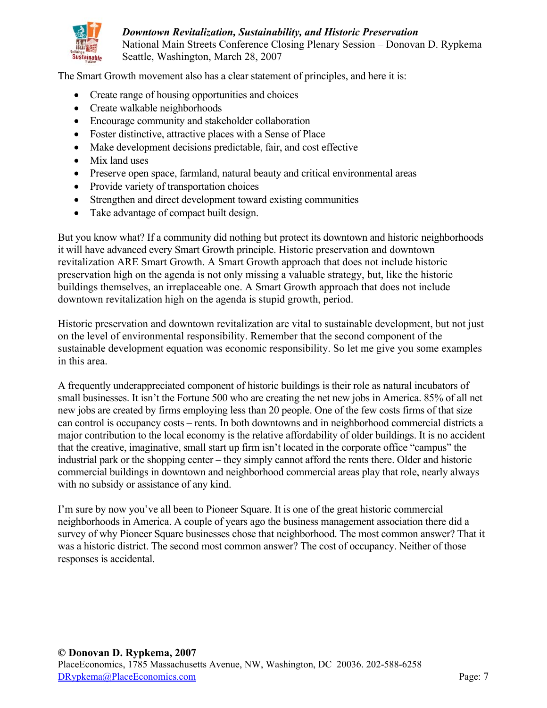

The Smart Growth movement also has a clear statement of principles, and here it is:

- $\bullet$  Create range of housing opportunities and choices
- $\bullet$  Create walkable neighborhoods
- Encourage community and stakeholder collaboration
- Foster distinctive, attractive places with a Sense of Place
- Make development decisions predictable, fair, and cost effective
- $\bullet$  Mix land uses
- Preserve open space, farmland, natural beauty and critical environmental areas
- Provide variety of transportation choices
- Strengthen and direct development toward existing communities
- Take advantage of compact built design.

But you know what? If a community did nothing but protect its downtown and historic neighborhoods it will have advanced every Smart Growth principle. Historic preservation and downtown revitalization ARE Smart Growth. A Smart Growth approach that does not include historic preservation high on the agenda is not only missing a valuable strategy, but, like the historic buildings themselves, an irreplaceable one. A Smart Growth approach that does not include downtown revitalization high on the agenda is stupid growth, period.

Historic preservation and downtown revitalization are vital to sustainable development, but not just on the level of environmental responsibility. Remember that the second component of the sustainable development equation was economic responsibility. So let me give you some examples in this area.

A frequently underappreciated component of historic buildings is their role as natural incubators of small businesses. It isn't the Fortune 500 who are creating the net new jobs in America. 85% of all net new jobs are created by firms employing less than 20 people. One of the few costs firms of that size can control is occupancy costs – rents. In both downtowns and in neighborhood commercial districts a major contribution to the local economy is the relative affordability of older buildings. It is no accident that the creative, imaginative, small start up firm isn't located in the corporate office "campus" the industrial park or the shopping center – they simply cannot afford the rents there. Older and historic commercial buildings in downtown and neighborhood commercial areas play that role, nearly always with no subsidy or assistance of any kind.

I'm sure by now you've all been to Pioneer Square. It is one of the great historic commercial neighborhoods in America. A couple of years ago the business management association there did a survey of why Pioneer Square businesses chose that neighborhood. The most common answer? That it was a historic district. The second most common answer? The cost of occupancy. Neither of those responses is accidental.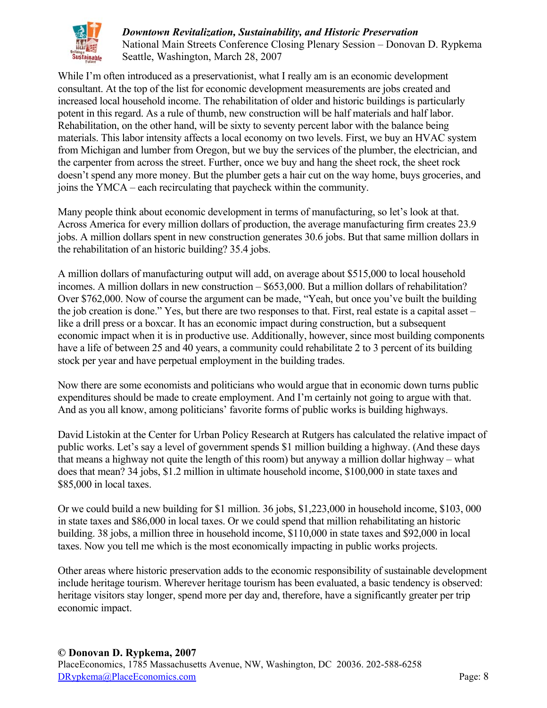

While I'm often introduced as a preservationist, what I really am is an economic development consultant. At the top of the list for economic development measurements are jobs created and increased local household income. The rehabilitation of older and historic buildings is particularly potent in this regard. As a rule of thumb, new construction will be half materials and half labor. Rehabilitation, on the other hand, will be sixty to seventy percent labor with the balance being materials. This labor intensity affects a local economy on two levels. First, we buy an HVAC system from Michigan and lumber from Oregon, but we buy the services of the plumber, the electrician, and the carpenter from across the street. Further, once we buy and hang the sheet rock, the sheet rock doesn't spend any more money. But the plumber gets a hair cut on the way home, buys groceries, and joins the YMCA – each recirculating that paycheck within the community.

Many people think about economic development in terms of manufacturing, so let's look at that. Across America for every million dollars of production, the average manufacturing firm creates 23.9 jobs. A million dollars spent in new construction generates 30.6 jobs. But that same million dollars in the rehabilitation of an historic building? 35.4 jobs.

A million dollars of manufacturing output will add, on average about \$515,000 to local household incomes. A million dollars in new construction – \$653,000. But a million dollars of rehabilitation? Over \$762,000. Now of course the argument can be made, "Yeah, but once you've built the building the job creation is done." Yes, but there are two responses to that. First, real estate is a capital asset – like a drill press or a boxcar. It has an economic impact during construction, but a subsequent economic impact when it is in productive use. Additionally, however, since most building components have a life of between 25 and 40 years, a community could rehabilitate 2 to 3 percent of its building stock per year and have perpetual employment in the building trades.

Now there are some economists and politicians who would argue that in economic down turns public expenditures should be made to create employment. And I'm certainly not going to argue with that. And as you all know, among politicians' favorite forms of public works is building highways.

David Listokin at the Center for Urban Policy Research at Rutgers has calculated the relative impact of public works. Let's say a level of government spends \$1 million building a highway. (And these days that means a highway not quite the length of this room) but anyway a million dollar highway – what does that mean? 34 jobs, \$1.2 million in ultimate household income, \$100,000 in state taxes and \$85,000 in local taxes.

Or we could build a new building for \$1 million. 36 jobs, \$1,223,000 in household income, \$103, 000 in state taxes and \$86,000 in local taxes. Or we could spend that million rehabilitating an historic building. 38 jobs, a million three in household income, \$110,000 in state taxes and \$92,000 in local taxes. Now you tell me which is the most economically impacting in public works projects.

Other areas where historic preservation adds to the economic responsibility of sustainable development include heritage tourism. Wherever heritage tourism has been evaluated, a basic tendency is observed: heritage visitors stay longer, spend more per day and, therefore, have a significantly greater per trip economic impact.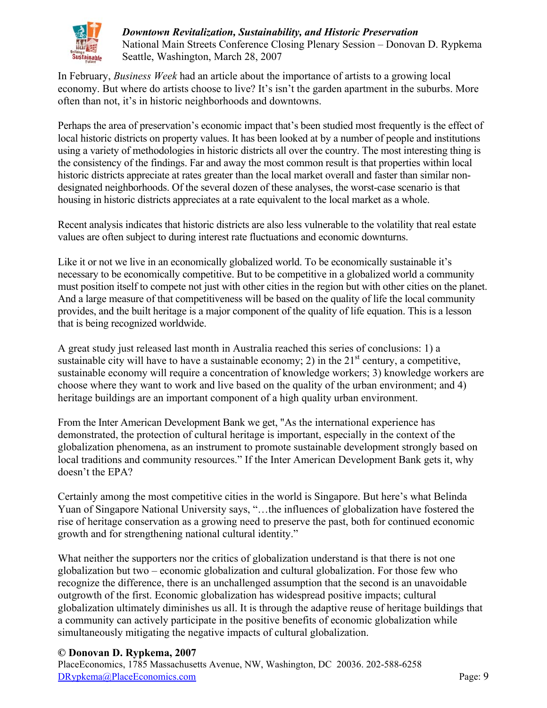

In February, *Business Week* had an article about the importance of artists to a growing local economy. But where do artists choose to live? It's isn't the garden apartment in the suburbs. More often than not, it's in historic neighborhoods and downtowns.

Perhaps the area of preservation's economic impact that's been studied most frequently is the effect of local historic districts on property values. It has been looked at by a number of people and institutions using a variety of methodologies in historic districts all over the country. The most interesting thing is the consistency of the findings. Far and away the most common result is that properties within local historic districts appreciate at rates greater than the local market overall and faster than similar nondesignated neighborhoods. Of the several dozen of these analyses, the worst-case scenario is that housing in historic districts appreciates at a rate equivalent to the local market as a whole.

Recent analysis indicates that historic districts are also less vulnerable to the volatility that real estate values are often subject to during interest rate fluctuations and economic downturns.

Like it or not we live in an economically globalized world. To be economically sustainable it's necessary to be economically competitive. But to be competitive in a globalized world a community must position itself to compete not just with other cities in the region but with other cities on the planet. And a large measure of that competitiveness will be based on the quality of life the local community provides, and the built heritage is a major component of the quality of life equation. This is a lesson that is being recognized worldwide.

A great study just released last month in Australia reached this series of conclusions: 1) a sustainable city will have to have a sustainable economy; 2) in the  $21<sup>st</sup>$  century, a competitive, sustainable economy will require a concentration of knowledge workers; 3) knowledge workers are choose where they want to work and live based on the quality of the urban environment; and 4) heritage buildings are an important component of a high quality urban environment.

From the Inter American Development Bank we get, "As the international experience has demonstrated, the protection of cultural heritage is important, especially in the context of the globalization phenomena, as an instrument to promote sustainable development strongly based on local traditions and community resources." If the Inter American Development Bank gets it, why doesn't the EPA?

Certainly among the most competitive cities in the world is Singapore. But here's what Belinda Yuan of Singapore National University says, "…the influences of globalization have fostered the rise of heritage conservation as a growing need to preserve the past, both for continued economic growth and for strengthening national cultural identity."

What neither the supporters nor the critics of globalization understand is that there is not one globalization but two – economic globalization and cultural globalization. For those few who recognize the difference, there is an unchallenged assumption that the second is an unavoidable outgrowth of the first. Economic globalization has widespread positive impacts; cultural globalization ultimately diminishes us all. It is through the adaptive reuse of heritage buildings that a community can actively participate in the positive benefits of economic globalization while simultaneously mitigating the negative impacts of cultural globalization.

## **© Donovan D. Rypkema, 2007**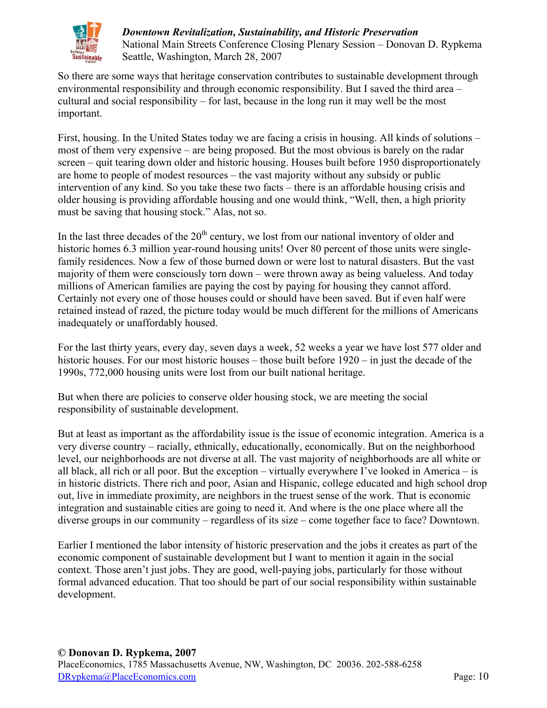

So there are some ways that heritage conservation contributes to sustainable development through environmental responsibility and through economic responsibility. But I saved the third area – cultural and social responsibility – for last, because in the long run it may well be the most important.

First, housing. In the United States today we are facing a crisis in housing. All kinds of solutions – most of them very expensive – are being proposed. But the most obvious is barely on the radar screen – quit tearing down older and historic housing. Houses built before 1950 disproportionately are home to people of modest resources – the vast majority without any subsidy or public intervention of any kind. So you take these two facts – there is an affordable housing crisis and older housing is providing affordable housing and one would think, "Well, then, a high priority must be saving that housing stock." Alas, not so.

In the last three decades of the  $20<sup>th</sup>$  century, we lost from our national inventory of older and historic homes 6.3 million year-round housing units! Over 80 percent of those units were singlefamily residences. Now a few of those burned down or were lost to natural disasters. But the vast majority of them were consciously torn down – were thrown away as being valueless. And today millions of American families are paying the cost by paying for housing they cannot afford. Certainly not every one of those houses could or should have been saved. But if even half were retained instead of razed, the picture today would be much different for the millions of Americans inadequately or unaffordably housed.

For the last thirty years, every day, seven days a week, 52 weeks a year we have lost 577 older and historic houses. For our most historic houses – those built before  $1920 - in$  just the decade of the 1990s, 772,000 housing units were lost from our built national heritage.

But when there are policies to conserve older housing stock, we are meeting the social responsibility of sustainable development.

But at least as important as the affordability issue is the issue of economic integration. America is a very diverse country – racially, ethnically, educationally, economically. But on the neighborhood level, our neighborhoods are not diverse at all. The vast majority of neighborhoods are all white or all black, all rich or all poor. But the exception – virtually everywhere I've looked in America – is in historic districts. There rich and poor, Asian and Hispanic, college educated and high school drop out, live in immediate proximity, are neighbors in the truest sense of the work. That is economic integration and sustainable cities are going to need it. And where is the one place where all the diverse groups in our community – regardless of its size – come together face to face? Downtown.

Earlier I mentioned the labor intensity of historic preservation and the jobs it creates as part of the economic component of sustainable development but I want to mention it again in the social context. Those aren't just jobs. They are good, well-paying jobs, particularly for those without formal advanced education. That too should be part of our social responsibility within sustainable development.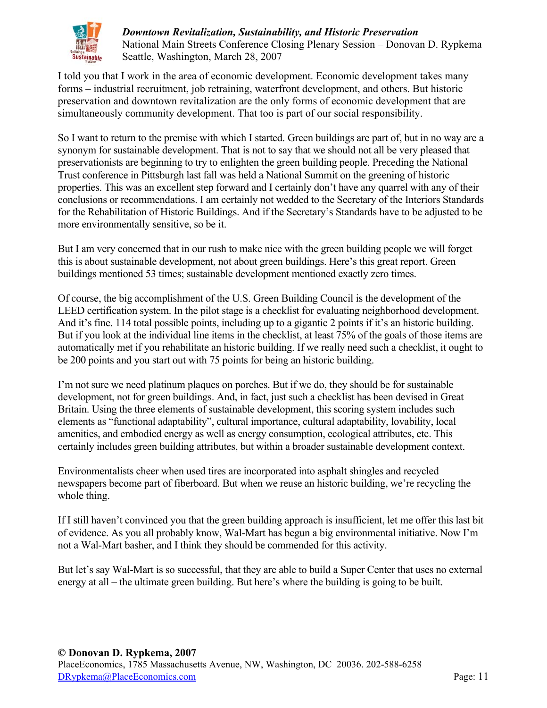

I told you that I work in the area of economic development. Economic development takes many forms – industrial recruitment, job retraining, waterfront development, and others. But historic preservation and downtown revitalization are the only forms of economic development that are simultaneously community development. That too is part of our social responsibility.

So I want to return to the premise with which I started. Green buildings are part of, but in no way are a synonym for sustainable development. That is not to say that we should not all be very pleased that preservationists are beginning to try to enlighten the green building people. Preceding the National Trust conference in Pittsburgh last fall was held a National Summit on the greening of historic properties. This was an excellent step forward and I certainly don't have any quarrel with any of their conclusions or recommendations. I am certainly not wedded to the Secretary of the Interiors Standards for the Rehabilitation of Historic Buildings. And if the Secretary's Standards have to be adjusted to be more environmentally sensitive, so be it.

But I am very concerned that in our rush to make nice with the green building people we will forget this is about sustainable development, not about green buildings. Here's this great report. Green buildings mentioned 53 times; sustainable development mentioned exactly zero times.

Of course, the big accomplishment of the U.S. Green Building Council is the development of the LEED certification system. In the pilot stage is a checklist for evaluating neighborhood development. And it's fine. 114 total possible points, including up to a gigantic 2 points if it's an historic building. But if you look at the individual line items in the checklist, at least 75% of the goals of those items are automatically met if you rehabilitate an historic building. If we really need such a checklist, it ought to be 200 points and you start out with 75 points for being an historic building.

I'm not sure we need platinum plaques on porches. But if we do, they should be for sustainable development, not for green buildings. And, in fact, just such a checklist has been devised in Great Britain. Using the three elements of sustainable development, this scoring system includes such elements as "functional adaptability", cultural importance, cultural adaptability, lovability, local amenities, and embodied energy as well as energy consumption, ecological attributes, etc. This certainly includes green building attributes, but within a broader sustainable development context.

Environmentalists cheer when used tires are incorporated into asphalt shingles and recycled newspapers become part of fiberboard. But when we reuse an historic building, we're recycling the whole thing.

If I still haven't convinced you that the green building approach is insufficient, let me offer this last bit of evidence. As you all probably know, Wal-Mart has begun a big environmental initiative. Now I'm not a Wal-Mart basher, and I think they should be commended for this activity.

But let's say Wal-Mart is so successful, that they are able to build a Super Center that uses no external energy at all – the ultimate green building. But here's where the building is going to be built.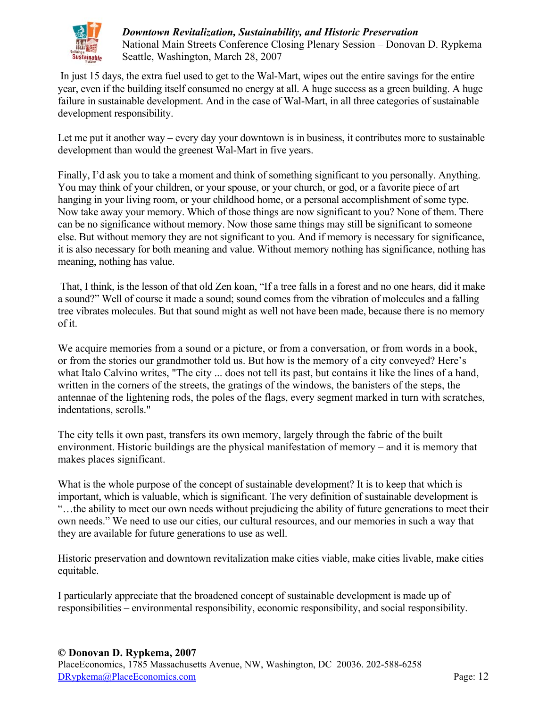

 In just 15 days, the extra fuel used to get to the Wal-Mart, wipes out the entire savings for the entire year, even if the building itself consumed no energy at all. A huge success as a green building. A huge failure in sustainable development. And in the case of Wal-Mart, in all three categories of sustainable development responsibility.

Let me put it another way – every day your downtown is in business, it contributes more to sustainable development than would the greenest Wal-Mart in five years.

Finally, I'd ask you to take a moment and think of something significant to you personally. Anything. You may think of your children, or your spouse, or your church, or god, or a favorite piece of art hanging in your living room, or your childhood home, or a personal accomplishment of some type. Now take away your memory. Which of those things are now significant to you? None of them. There can be no significance without memory. Now those same things may still be significant to someone else. But without memory they are not significant to you. And if memory is necessary for significance, it is also necessary for both meaning and value. Without memory nothing has significance, nothing has meaning, nothing has value.

 That, I think, is the lesson of that old Zen koan, "If a tree falls in a forest and no one hears, did it make a sound?" Well of course it made a sound; sound comes from the vibration of molecules and a falling tree vibrates molecules. But that sound might as well not have been made, because there is no memory of it.

We acquire memories from a sound or a picture, or from a conversation, or from words in a book, or from the stories our grandmother told us. But how is the memory of a city conveyed? Here's what Italo Calvino writes, "The city ... does not tell its past, but contains it like the lines of a hand, written in the corners of the streets, the gratings of the windows, the banisters of the steps, the antennae of the lightening rods, the poles of the flags, every segment marked in turn with scratches, indentations, scrolls."

The city tells it own past, transfers its own memory, largely through the fabric of the built environment. Historic buildings are the physical manifestation of memory – and it is memory that makes places significant.

What is the whole purpose of the concept of sustainable development? It is to keep that which is important, which is valuable, which is significant. The very definition of sustainable development is "…the ability to meet our own needs without prejudicing the ability of future generations to meet their own needs." We need to use our cities, our cultural resources, and our memories in such a way that they are available for future generations to use as well.

Historic preservation and downtown revitalization make cities viable, make cities livable, make cities equitable.

I particularly appreciate that the broadened concept of sustainable development is made up of responsibilities – environmental responsibility, economic responsibility, and social responsibility.